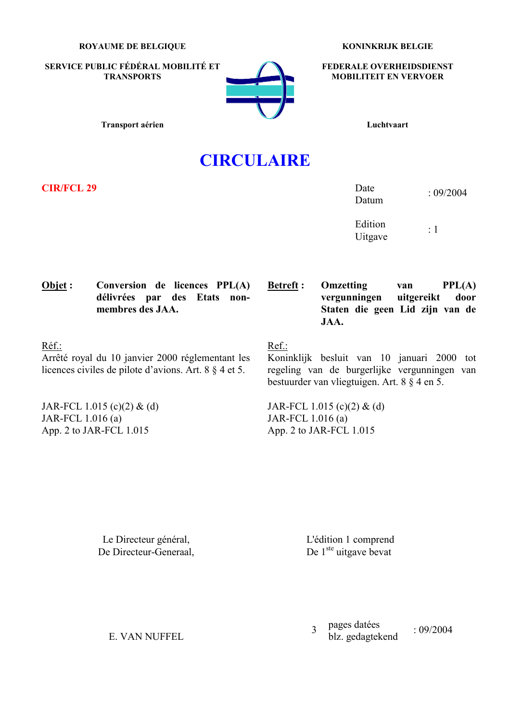## **ROYAUME DE BELGIQUE KONINKRIJK BELGIE**

**FEDERALE OVERHEIDSDIENST MOBILITEIT EN VERVOER** 

**SERVICE PUBLIC FÉDÉRAL MOBILITÉ ET TRANSPORTS** 

**Transport aérien Luchtvaart** 

## **CIRCULAIRE**

**CIR/FCL 29** Date

Datum : 09/2004 Edition : 1

Uitgave

**Objet : Conversion de licences PPL(A) délivrées par des Etats nonmembres des JAA.**

Réf.: Ref.: Arrêté royal du 10 janvier 2000 réglementant les licences civiles de pilote d'avions. Art. 8 § 4 et 5.

JAR-FCL 1.015 (c)(2) & (d) JAR-FCL 1.016 (a) App. 2 to JAR-FCL 1.015 App. 2 to JAR-FCL 1.015

**Betreft : Omzetting van PPL(A) vergunningen uitgereikt door Staten die geen Lid zijn van de JAA.** 

Koninklijk besluit van 10 januari 2000 tot regeling van de burgerlijke vergunningen van bestuurder van vliegtuigen. Art. 8 § 4 en 5.

JAR-FCL 1.015 (c)(2) & (d) JAR-FCL 1.016 (a)

Le Directeur général, De Directeur-Generaal, L'édition 1 comprend De 1<sup>ste</sup> uitgave bevat

E. VAN NUFFEL 3 pages datées<br>3 pages datées<br>blz. gedagtek pages datees<br>blz. gedagtekend : 09/2004

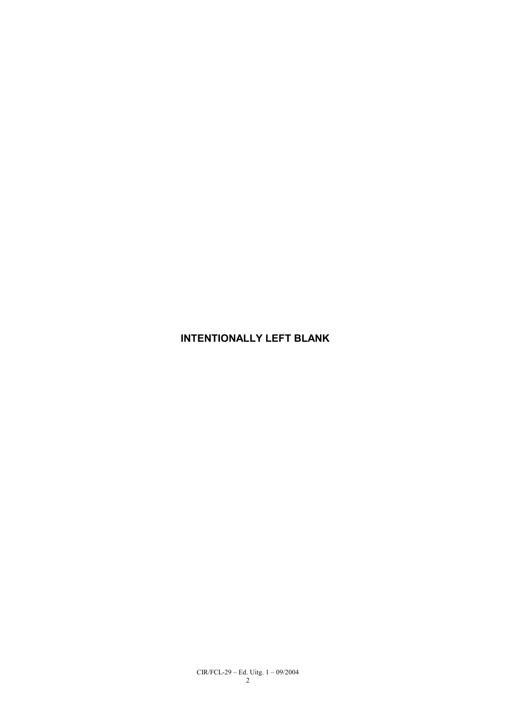## **INTENTIONALLY LEFT BLANK**